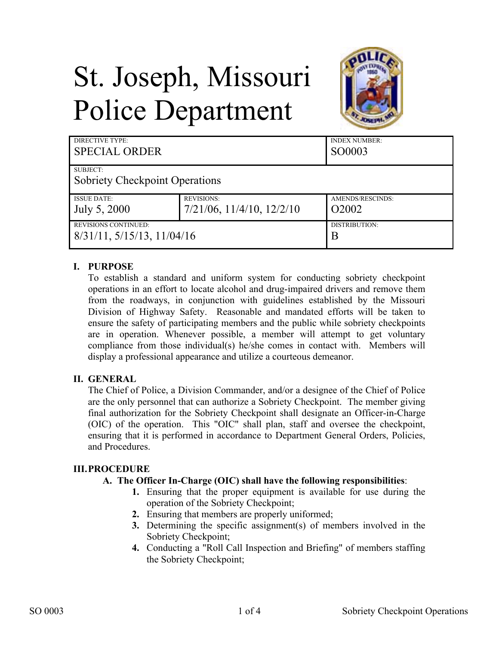# St. Joseph, Missouri Police Department



| <b>DIRECTIVE TYPE:</b><br><b>SPECIAL ORDER</b>    |                                   | <b>INDEX NUMBER:</b><br>SO0003 |
|---------------------------------------------------|-----------------------------------|--------------------------------|
| SUBJECT:<br><b>Sobriety Checkpoint Operations</b> |                                   |                                |
| <b>ISSUE DATE:</b>                                | <b>REVISIONS:</b>                 | AMENDS/RESCINDS:               |
| July 5, 2000                                      | $7/21/06$ , $11/4/10$ , $12/2/10$ | O <sub>2</sub> 00 <sub>2</sub> |
| <b>REVISIONS CONTINUED:</b>                       |                                   | DISTRIBUTION:                  |
| $8/31/11$ , $5/15/13$ , $11/04/16$                |                                   | Β                              |

## **I. PURPOSE**

To establish a standard and uniform system for conducting sobriety checkpoint operations in an effort to locate alcohol and drug-impaired drivers and remove them from the roadways, in conjunction with guidelines established by the Missouri Division of Highway Safety. Reasonable and mandated efforts will be taken to ensure the safety of participating members and the public while sobriety checkpoints are in operation. Whenever possible, a member will attempt to get voluntary compliance from those individual(s) he/she comes in contact with. Members will display a professional appearance and utilize a courteous demeanor.

#### **II. GENERAL**

The Chief of Police, a Division Commander, and/or a designee of the Chief of Police are the only personnel that can authorize a Sobriety Checkpoint. The member giving final authorization for the Sobriety Checkpoint shall designate an Officer-in-Charge (OIC) of the operation. This "OIC" shall plan, staff and oversee the checkpoint, ensuring that it is performed in accordance to Department General Orders, Policies, and Procedures.

#### **III.PROCEDURE**

#### **A. The Officer In-Charge (OIC) shall have the following responsibilities**:

- **1.** Ensuring that the proper equipment is available for use during the operation of the Sobriety Checkpoint;
- **2.** Ensuring that members are properly uniformed;
- **3.** Determining the specific assignment(s) of members involved in the Sobriety Checkpoint;
- **4.** Conducting a "Roll Call Inspection and Briefing" of members staffing the Sobriety Checkpoint;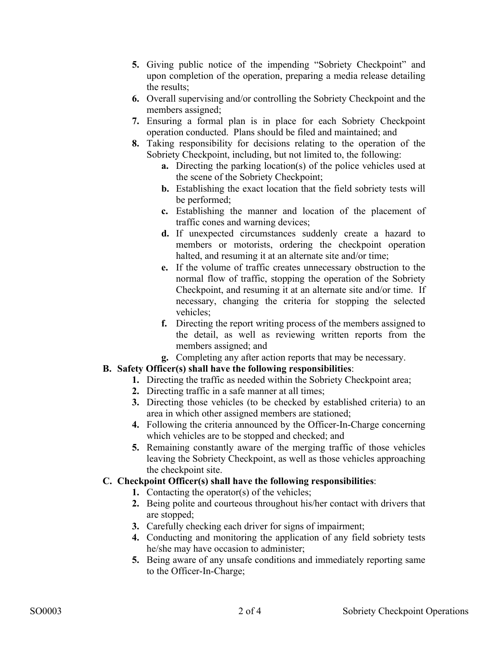- **5.** Giving public notice of the impending "Sobriety Checkpoint" and upon completion of the operation, preparing a media release detailing the results;
- **6.** Overall supervising and/or controlling the Sobriety Checkpoint and the members assigned;
- **7.** Ensuring a formal plan is in place for each Sobriety Checkpoint operation conducted. Plans should be filed and maintained; and
- **8.** Taking responsibility for decisions relating to the operation of the Sobriety Checkpoint, including, but not limited to, the following:
	- **a.** Directing the parking location(s) of the police vehicles used at the scene of the Sobriety Checkpoint;
	- **b.** Establishing the exact location that the field sobriety tests will be performed;
	- **c.** Establishing the manner and location of the placement of traffic cones and warning devices;
	- **d.** If unexpected circumstances suddenly create a hazard to members or motorists, ordering the checkpoint operation halted, and resuming it at an alternate site and/or time;
	- **e.** If the volume of traffic creates unnecessary obstruction to the normal flow of traffic, stopping the operation of the Sobriety Checkpoint, and resuming it at an alternate site and/or time. If necessary, changing the criteria for stopping the selected vehicles;
	- **f.** Directing the report writing process of the members assigned to the detail, as well as reviewing written reports from the members assigned; and
	- **g.** Completing any after action reports that may be necessary.

# **B. Safety Officer(s) shall have the following responsibilities**:

- **1.** Directing the traffic as needed within the Sobriety Checkpoint area;
- **2.** Directing traffic in a safe manner at all times;
- **3.** Directing those vehicles (to be checked by established criteria) to an area in which other assigned members are stationed;
- **4.** Following the criteria announced by the Officer-In-Charge concerning which vehicles are to be stopped and checked; and
- **5.** Remaining constantly aware of the merging traffic of those vehicles leaving the Sobriety Checkpoint, as well as those vehicles approaching the checkpoint site.

## **C. Checkpoint Officer(s) shall have the following responsibilities**:

- **1.** Contacting the operator(s) of the vehicles;
- **2.** Being polite and courteous throughout his/her contact with drivers that are stopped;
- **3.** Carefully checking each driver for signs of impairment;
- **4.** Conducting and monitoring the application of any field sobriety tests he/she may have occasion to administer;
- **5.** Being aware of any unsafe conditions and immediately reporting same to the Officer-In-Charge;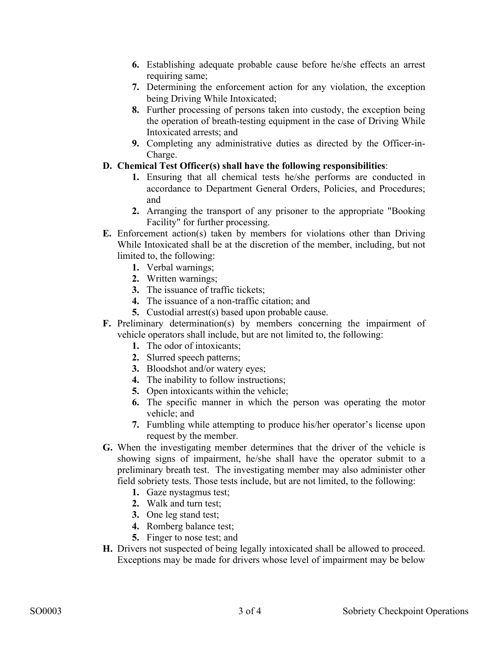- **6.** Establishing adequate probable cause before he/she effects an arrest requiring same;
- **7.** Determining the enforcement action for any violation, the exception being Driving While Intoxicated;
- **8.** Further processing of persons taken into custody, the exception being the operation of breath-testing equipment in the case of Driving While Intoxicated arrests; and
- **9.** Completing any administrative duties as directed by the Officer-in-Charge.

#### **D. Chemical Test Officer(s) shall have the following responsibilities**:

- **1.** Ensuring that all chemical tests he/she performs are conducted in accordance to Department General Orders, Policies, and Procedures; and
- **2.** Arranging the transport of any prisoner to the appropriate "Booking Facility" for further processing.
- **E.** Enforcement action(s) taken by members for violations other than Driving While Intoxicated shall be at the discretion of the member, including, but not limited to, the following:
	- **1.** Verbal warnings;
	- **2.** Written warnings;
	- **3.** The issuance of traffic tickets;
	- **4.** The issuance of a non-traffic citation; and
	- **5.** Custodial arrest(s) based upon probable cause.
- **F.** Preliminary determination(s) by members concerning the impairment of vehicle operators shall include, but are not limited to, the following:
	- **1.** The odor of intoxicants;
	- **2.** Slurred speech patterns;
	- **3.** Bloodshot and/or watery eyes;
	- **4.** The inability to follow instructions;
	- **5.** Open intoxicants within the vehicle;
	- **6.** The specific manner in which the person was operating the motor vehicle; and
	- **7.** Fumbling while attempting to produce his/her operator's license upon request by the member.
- **G.** When the investigating member determines that the driver of the vehicle is showing signs of impairment, he/she shall have the operator submit to a preliminary breath test. The investigating member may also administer other field sobriety tests. Those tests include, but are not limited, to the following:
	- **1.** Gaze nystagmus test;
	- **2.** Walk and turn test;
	- **3.** One leg stand test;
	- **4.** Romberg balance test;
	- **5.** Finger to nose test; and
- **H.** Drivers not suspected of being legally intoxicated shall be allowed to proceed. Exceptions may be made for drivers whose level of impairment may be below